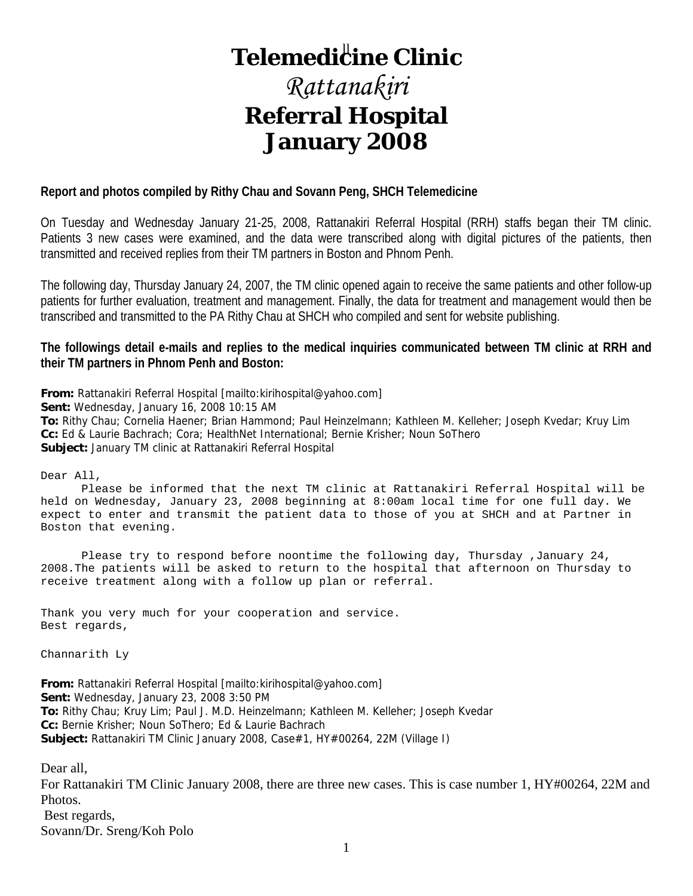## **Telemedi<sup>ll</sup>ine Clinic**

## *Rattanakiri*  **Referral Hospital January 2008**

#### **Report and photos compiled by Rithy Chau and Sovann Peng, SHCH Telemedicine**

On Tuesday and Wednesday January 21-25, 2008, Rattanakiri Referral Hospital (RRH) staffs began their TM clinic. Patients 3 new cases were examined, and the data were transcribed along with digital pictures of the patients, then transmitted and received replies from their TM partners in Boston and Phnom Penh.

The following day, Thursday January 24, 2007, the TM clinic opened again to receive the same patients and other follow-up patients for further evaluation, treatment and management. Finally, the data for treatment and management would then be transcribed and transmitted to the PA Rithy Chau at SHCH who compiled and sent for website publishing.

**The followings detail e-mails and replies to the medical inquiries communicated between TM clinic at RRH and their TM partners in Phnom Penh and Boston:** 

**From:** Rattanakiri Referral Hospital [mailto:kirihospital@yahoo.com]

**Sent:** Wednesday, January 16, 2008 10:15 AM

**To:** Rithy Chau; Cornelia Haener; Brian Hammond; Paul Heinzelmann; Kathleen M. Kelleher; Joseph Kvedar; Kruy Lim **Cc:** Ed & Laurie Bachrach; Cora; HealthNet International; Bernie Krisher; Noun SoThero **Subject:** January TM clinic at Rattanakiri Referral Hospital

Dear All,

 Please be informed that the next TM clinic at Rattanakiri Referral Hospital will be held on Wednesday, January 23, 2008 beginning at 8:00am local time for one full day. We expect to enter and transmit the patient data to those of you at SHCH and at Partner in Boston that evening.

 Please try to respond before noontime the following day, Thursday ,January 24, 2008.The patients will be asked to return to the hospital that afternoon on Thursday to receive treatment along with a follow up plan or referral.

Thank you very much for your cooperation and service. Best regards,

Channarith Ly

**From:** Rattanakiri Referral Hospital [mailto:kirihospital@yahoo.com] **Sent:** Wednesday, January 23, 2008 3:50 PM **To:** Rithy Chau; Kruy Lim; Paul J. M.D. Heinzelmann; Kathleen M. Kelleher; Joseph Kvedar **Cc:** Bernie Krisher; Noun SoThero; Ed & Laurie Bachrach **Subject:** Rattanakiri TM Clinic January 2008, Case#1, HY#00264, 22M (Village I)

Dear all,

For Rattanakiri TM Clinic January 2008, there are three new cases. This is case number 1, HY#00264, 22M and Photos. Best regards, Sovann/Dr. Sreng/Koh Polo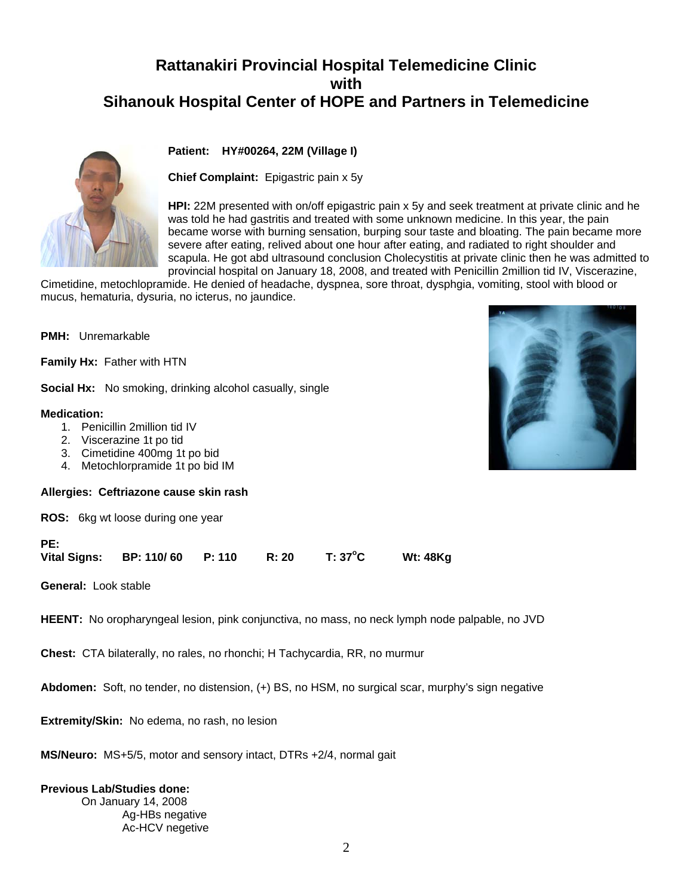## **Rattanakiri Provincial Hospital Telemedicine Clinic with Sihanouk Hospital Center of HOPE and Partners in Telemedicine**

#### **Patient: HY#00264, 22M (Village I)**

**Chief Complaint:** Epigastric pain x 5y

**HPI:** 22M presented with on/off epigastric pain x 5y and seek treatment at private clinic and he was told he had gastritis and treated with some unknown medicine. In this year, the pain became worse with burning sensation, burping sour taste and bloating. The pain became more severe after eating, relived about one hour after eating, and radiated to right shoulder and scapula. He got abd ultrasound conclusion Cholecystitis at private clinic then he was admitted to provincial hospital on January 18, 2008, and treated with Penicillin 2million tid IV, Viscerazine,

Cimetidine, metochlopramide. He denied of headache, dyspnea, sore throat, dysphgia, vomiting, stool with blood or mucus, hematuria, dysuria, no icterus, no jaundice.

**PMH:** Unremarkable

**Family Hx:** Father with HTN

**Social Hx:** No smoking, drinking alcohol casually, single

#### **Medication:**

- 1. Penicillin 2million tid IV
- 2. Viscerazine 1t po tid
- 3. Cimetidine 400mg 1t po bid
- 4. Metochlorpramide 1t po bid IM

#### **Allergies: Ceftriazone cause skin rash**

**ROS:** 6kg wt loose during one year

**PE:** 

| <b>Vital Signs:</b> | <b>BP: 110/60</b> | P: 110 | R:20 | T: 37°C | <b>Wt: 48Kg</b> |
|---------------------|-------------------|--------|------|---------|-----------------|
|                     |                   |        |      |         |                 |

**General:** Look stable

**HEENT:** No oropharyngeal lesion, pink conjunctiva, no mass, no neck lymph node palpable, no JVD

**Chest:** CTA bilaterally, no rales, no rhonchi; H Tachycardia, RR, no murmur

**Abdomen:** Soft, no tender, no distension, (+) BS, no HSM, no surgical scar, murphy's sign negative

**Extremity/Skin:** No edema, no rash, no lesion

**MS/Neuro:** MS+5/5, motor and sensory intact, DTRs +2/4, normal gait

#### **Previous Lab/Studies done:**

On January 14, 2008 Ag-HBs negative Ac-HCV negetive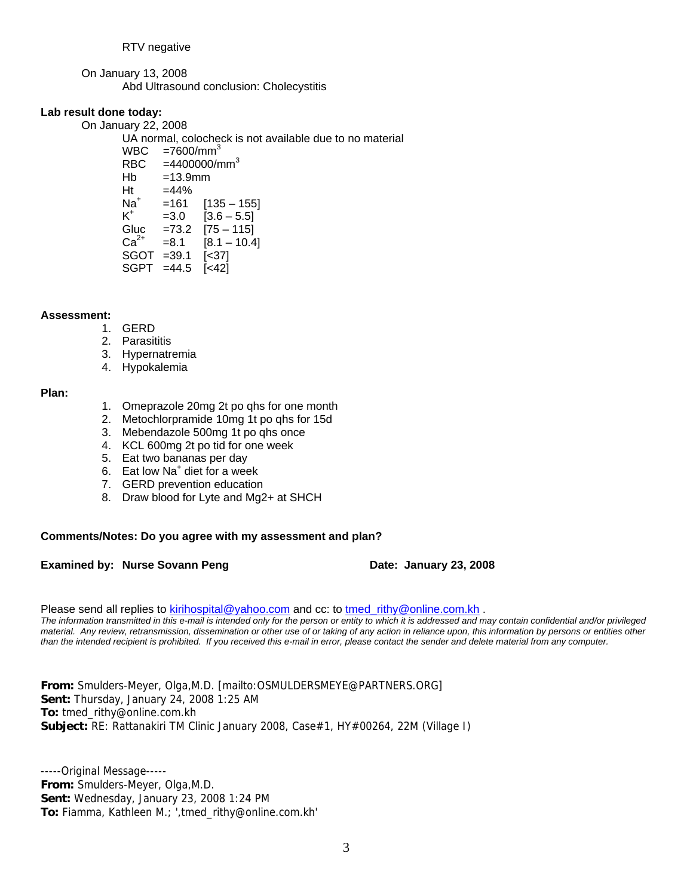On January 13, 2008 Abd Ultrasound conclusion: Cholecystitis

#### **Lab result done today:**

On January 22, 2008

UA normal, colocheck is not available due to no material

WBC  $=7600/\text{mm}^3$ RBC  $=4400000/mm<sup>3</sup>$  $Hb = 13.9$ mm  $Ht = 44%$  $Na<sup>+</sup>$  $=161$  [135 – 155]  $K^+$  $=3.0$  [3.6 – 5.5] Gluc =73.2 [75 – 115]  $Ca^{2+}$  =8.1 [8.1 – 10.4] SGOT =39.1 [<37] SGPT =44.5 [<42]

#### **Assessment:**

- 1. GERD
- 2. Parasititis
- 3. Hypernatremia
- 4. Hypokalemia

#### **Plan:**

- 1. Omeprazole 20mg 2t po qhs for one month
- 2. Metochlorpramide 10mg 1t po qhs for 15d
- 3. Mebendazole 500mg 1t po qhs once
- 4. KCL 600mg 2t po tid for one week
- 5. Eat two bananas per day
- 6. Eat low Na+ diet for a week
- 7. GERD prevention education
- 8. Draw blood for Lyte and Mg2+ at SHCH

#### **Comments/Notes: Do you agree with my assessment and plan?**

#### **Examined by: Nurse Sovann Peng Date: January 23, 2008**

Please send all replies to kirihospital@yahoo.com and cc: to tmed\_rithy@online.com.kh .

*The information transmitted in this e-mail is intended only for the person or entity to which it is addressed and may contain confidential and/or privileged material. Any review, retransmission, dissemination or other use of or taking of any action in reliance upon, this information by persons or entities other than the intended recipient is prohibited. If you received this e-mail in error, please contact the sender and delete material from any computer.*

**From:** Smulders-Meyer, Olga,M.D. [mailto:OSMULDERSMEYE@PARTNERS.ORG] **Sent:** Thursday, January 24, 2008 1:25 AM **To:** tmed\_rithy@online.com.kh **Subject:** RE: Rattanakiri TM Clinic January 2008, Case#1, HY#00264, 22M (Village I)

-----Original Message----- **From:** Smulders-Meyer, Olga,M.D. **Sent:** Wednesday, January 23, 2008 1:24 PM **To:** Fiamma, Kathleen M.; ',tmed\_rithy@online.com.kh'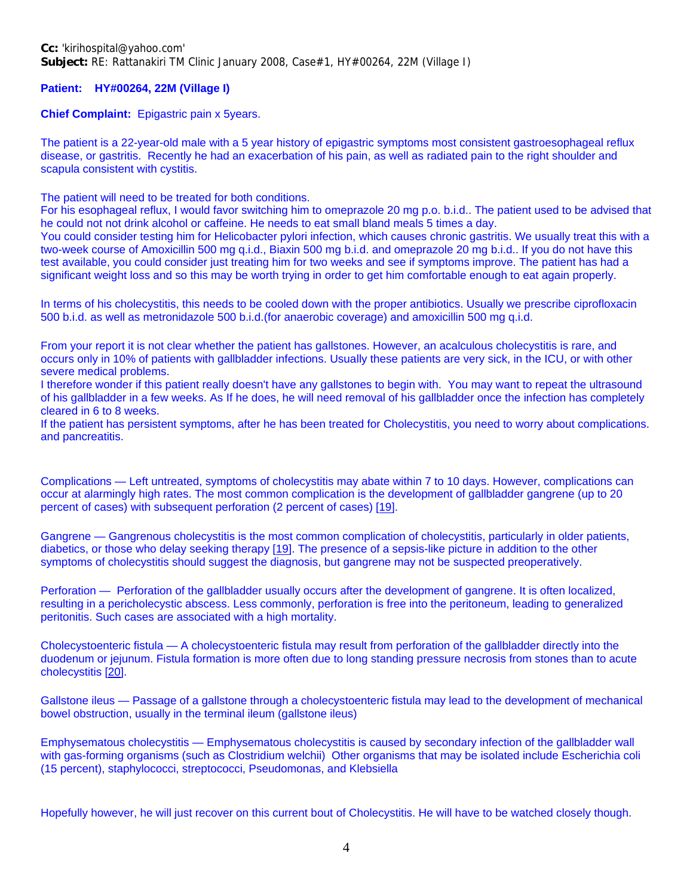**Patient: HY#00264, 22M (Village I)**

**Chief Complaint:** Epigastric pain x 5years.

The patient is a 22-year-old male with a 5 year history of epigastric symptoms most consistent gastroesophageal reflux disease, or gastritis. Recently he had an exacerbation of his pain, as well as radiated pain to the right shoulder and scapula consistent with cystitis.

The patient will need to be treated for both conditions.

For his esophageal reflux, I would favor switching him to omeprazole 20 mg p.o. b.i.d.. The patient used to be advised that he could not not drink alcohol or caffeine. He needs to eat small bland meals 5 times a day.

You could consider testing him for Helicobacter pylori infection, which causes chronic gastritis. We usually treat this with a two-week course of Amoxicillin 500 mg q.i.d., Biaxin 500 mg b.i.d. and omeprazole 20 mg b.i.d.. If you do not have this test available, you could consider just treating him for two weeks and see if symptoms improve. The patient has had a significant weight loss and so this may be worth trying in order to get him comfortable enough to eat again properly.

In terms of his cholecystitis, this needs to be cooled down with the proper antibiotics. Usually we prescribe ciprofloxacin 500 b.i.d. as well as metronidazole 500 b.i.d.(for anaerobic coverage) and amoxicillin 500 mg q.i.d.

From your report it is not clear whether the patient has gallstones. However, an acalculous cholecystitis is rare, and occurs only in 10% of patients with gallbladder infections. Usually these patients are very sick, in the ICU, or with other severe medical problems.

I therefore wonder if this patient really doesn't have any gallstones to begin with. You may want to repeat the ultrasound of his gallbladder in a few weeks. As If he does, he will need removal of his gallbladder once the infection has completely cleared in 6 to 8 weeks.

If the patient has persistent symptoms, after he has been treated for Cholecystitis, you need to worry about complications. and pancreatitis.

Complications — Left untreated, symptoms of cholecystitis may abate within 7 to 10 days. However, complications can occur at alarmingly high rates. The most common complication is the development of gallbladder gangrene (up to 20 percent of cases) with subsequent perforation (2 percent of cases) [19].

Gangrene — Gangrenous cholecystitis is the most common complication of cholecystitis, particularly in older patients, diabetics, or those who delay seeking therapy [19]. The presence of a sepsis-like picture in addition to the other symptoms of cholecystitis should suggest the diagnosis, but gangrene may not be suspected preoperatively.

Perforation — Perforation of the gallbladder usually occurs after the development of gangrene. It is often localized, resulting in a pericholecystic abscess. Less commonly, perforation is free into the peritoneum, leading to generalized peritonitis. Such cases are associated with a high mortality.

Cholecystoenteric fistula — A cholecystoenteric fistula may result from perforation of the gallbladder directly into the duodenum or jejunum. Fistula formation is more often due to long standing pressure necrosis from stones than to acute cholecystitis [20].

Gallstone ileus — Passage of a gallstone through a cholecystoenteric fistula may lead to the development of mechanical bowel obstruction, usually in the terminal ileum (gallstone ileus)

Emphysematous cholecystitis — Emphysematous cholecystitis is caused by secondary infection of the gallbladder wall with gas-forming organisms (such as Clostridium welchii) Other organisms that may be isolated include Escherichia coli (15 percent), staphylococci, streptococci, Pseudomonas, and Klebsiella

Hopefully however, he will just recover on this current bout of Cholecystitis. He will have to be watched closely though.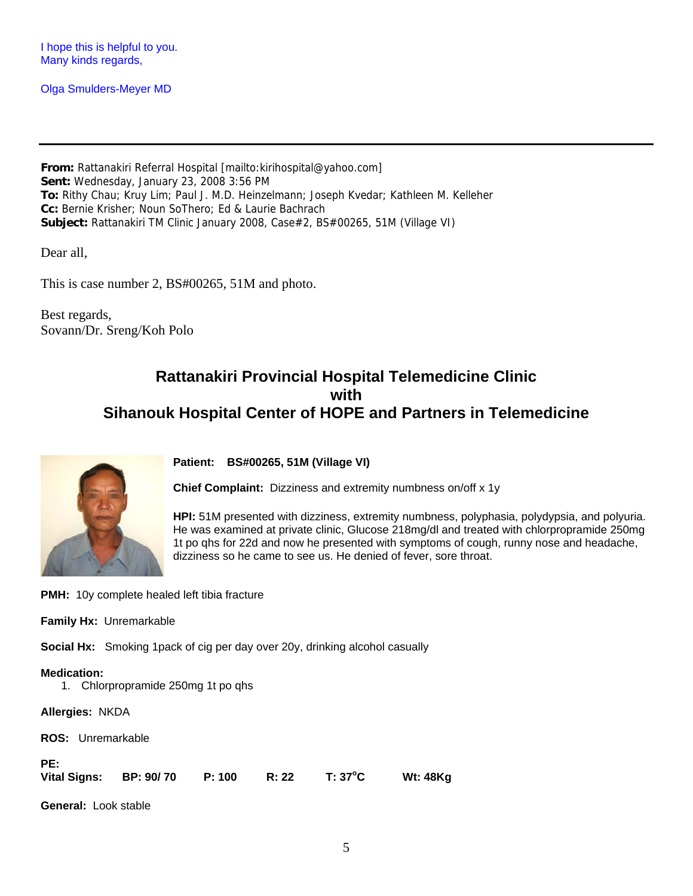I hope this is helpful to you. Many kinds regards,

Olga Smulders-Meyer MD

**From:** Rattanakiri Referral Hospital [mailto:kirihospital@yahoo.com] **Sent:** Wednesday, January 23, 2008 3:56 PM **To:** Rithy Chau; Kruy Lim; Paul J. M.D. Heinzelmann; Joseph Kvedar; Kathleen M. Kelleher **Cc:** Bernie Krisher; Noun SoThero; Ed & Laurie Bachrach **Subject:** Rattanakiri TM Clinic January 2008, Case#2, BS#00265, 51M (Village VI)

Dear all,

This is case number 2, BS#00265, 51M and photo.

Best regards, Sovann/Dr. Sreng/Koh Polo

### **Rattanakiri Provincial Hospital Telemedicine Clinic with Sihanouk Hospital Center of HOPE and Partners in Telemedicine**



**Patient: BS#00265, 51M (Village VI)**

**Chief Complaint:** Dizziness and extremity numbness on/off x 1y

**HPI:** 51M presented with dizziness, extremity numbness, polyphasia, polydypsia, and polyuria. He was examined at private clinic, Glucose 218mg/dl and treated with chlorpropramide 250mg 1t po qhs for 22d and now he presented with symptoms of cough, runny nose and headache, dizziness so he came to see us. He denied of fever, sore throat.

**PMH:** 10y complete healed left tibia fracture

**Family Hx:** Unremarkable

**Social Hx:** Smoking 1pack of cig per day over 20y, drinking alcohol casually

#### **Medication:**

1. Chlorpropramide 250mg 1t po qhs

**Allergies:** NKDA

**ROS:** Unremarkable

#### **PE:**

|  | <b>Vital Signs:</b> | BP: 90/70 | P: 100 | R: 22 | $T: 37^{\circ}C$ | <b>Wt: 48Kg</b> |
|--|---------------------|-----------|--------|-------|------------------|-----------------|
|--|---------------------|-----------|--------|-------|------------------|-----------------|

**General:** Look stable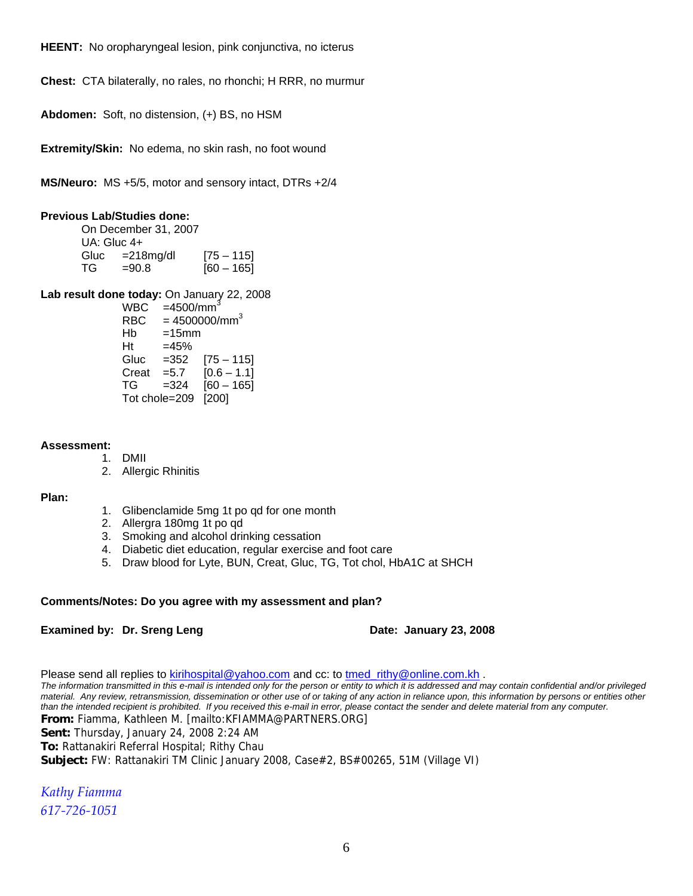**HEENT:** No oropharyngeal lesion, pink conjunctiva, no icterus

**Chest:** CTA bilaterally, no rales, no rhonchi; H RRR, no murmur

**Abdomen:** Soft, no distension, (+) BS, no HSM

**Extremity/Skin:** No edema, no skin rash, no foot wound

**MS/Neuro:** MS +5/5, motor and sensory intact, DTRs +2/4

#### **Previous Lab/Studies done:**

 On December 31, 2007 UA: Gluc 4+ Gluc =218mg/dl [75 – 115]  $TG = 90.8$  [60 – 165]

**Lab result done today:** On January 22, 2008

 $WBC = 4500/mm<sup>3</sup>$ RBC  $= 4500000 \text{/mm}^3$  $Hb =15mm$  $Ht = 45%$  Gluc =352 [75 – 115] Creat =  $5.7$  [0.6 – 1.1]  $TG = 324$   $[60 - 165]$ Tot chole=209 [200]

#### **Assessment:**

- 1. DMII
- 2. Allergic Rhinitis

#### **Plan:**

- 1. Glibenclamide 5mg 1t po qd for one month
- 2. Allergra 180mg 1t po qd
- 3. Smoking and alcohol drinking cessation
- 4. Diabetic diet education, regular exercise and foot care
- 5. Draw blood for Lyte, BUN, Creat, Gluc, TG, Tot chol, HbA1C at SHCH

#### **Comments/Notes: Do you agree with my assessment and plan?**

#### **Examined by: Dr. Sreng Leng Date: January 23, 2008**

Please send all replies to kirihospital@yahoo.com and cc: to tmed\_rithy@online.com.kh . *The information transmitted in this e-mail is intended only for the person or entity to which it is addressed and may contain confidential and/or privileged material. Any review, retransmission, dissemination or other use of or taking of any action in reliance upon, this information by persons or entities other than the intended recipient is prohibited. If you received this e-mail in error, please contact the sender and delete material from any computer.* **From:** Fiamma, Kathleen M. [mailto:KFIAMMA@PARTNERS.ORG] **Sent:** Thursday, January 24, 2008 2:24 AM **To:** Rattanakiri Referral Hospital; Rithy Chau **Subject:** FW: Rattanakiri TM Clinic January 2008, Case#2, BS#00265, 51M (Village VI)

*Kathy Fiamma 617‐726‐1051*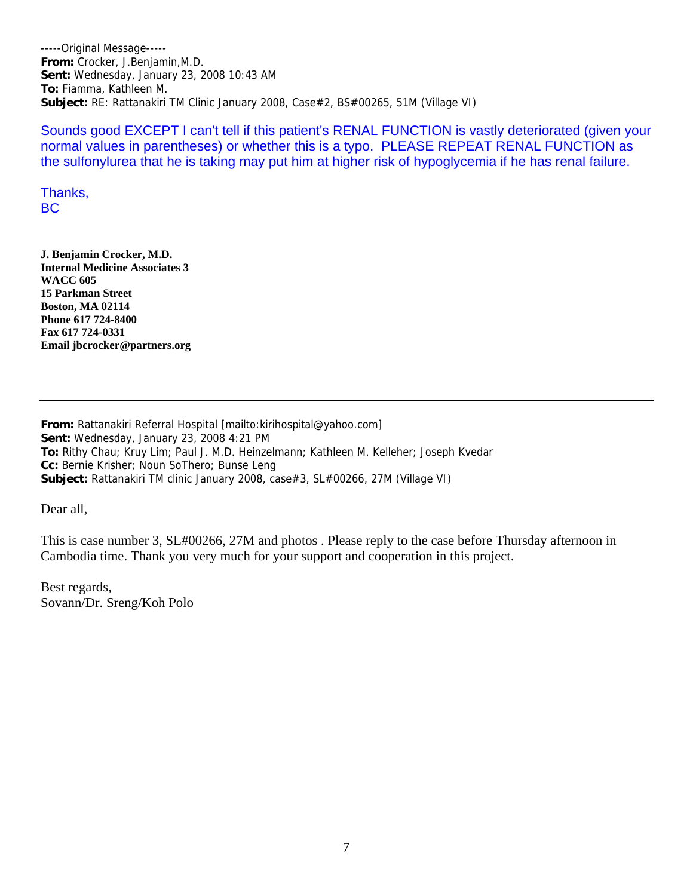-----Original Message----- **From:** Crocker, J.Benjamin,M.D. **Sent:** Wednesday, January 23, 2008 10:43 AM **To:** Fiamma, Kathleen M. **Subject:** RE: Rattanakiri TM Clinic January 2008, Case#2, BS#00265, 51M (Village VI)

Sounds good EXCEPT I can't tell if this patient's RENAL FUNCTION is vastly deteriorated (given your normal values in parentheses) or whether this is a typo. PLEASE REPEAT RENAL FUNCTION as the sulfonylurea that he is taking may put him at higher risk of hypoglycemia if he has renal failure.

Thanks, BC

**J. Benjamin Crocker, M.D. Internal Medicine Associates 3 WACC 605 15 Parkman Street Boston, MA 02114 Phone 617 724-8400 Fax 617 724-0331 Email jbcrocker@partners.org**

**From:** Rattanakiri Referral Hospital [mailto:kirihospital@yahoo.com] **Sent:** Wednesday, January 23, 2008 4:21 PM **To:** Rithy Chau; Kruy Lim; Paul J. M.D. Heinzelmann; Kathleen M. Kelleher; Joseph Kvedar **Cc:** Bernie Krisher; Noun SoThero; Bunse Leng **Subject:** Rattanakiri TM clinic January 2008, case#3, SL#00266, 27M (Village VI)

Dear all,

This is case number 3, SL#00266, 27M and photos . Please reply to the case before Thursday afternoon in Cambodia time. Thank you very much for your support and cooperation in this project.

Best regards, Sovann/Dr. Sreng/Koh Polo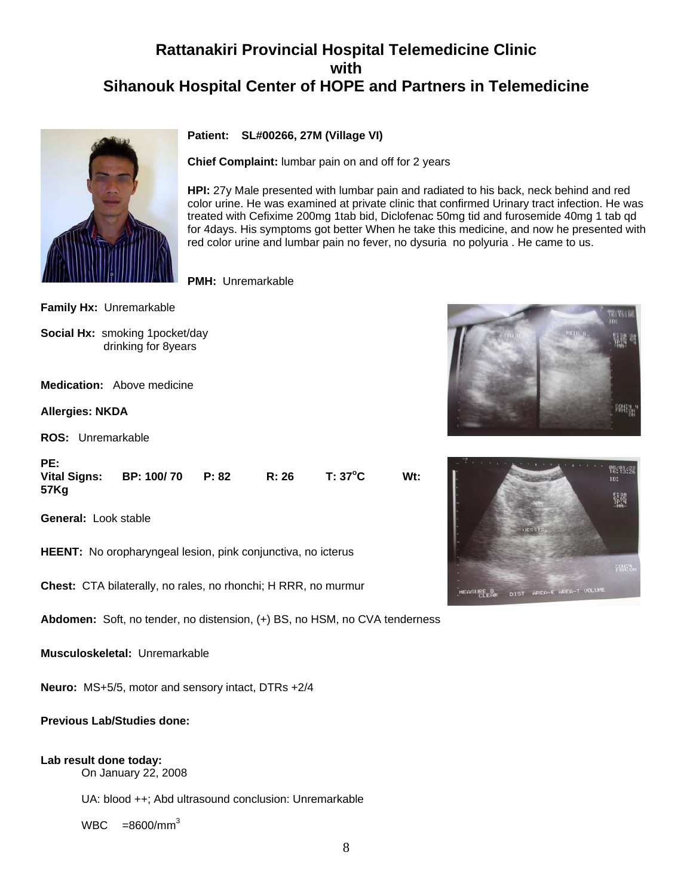## **Rattanakiri Provincial Hospital Telemedicine Clinic with Sihanouk Hospital Center of HOPE and Partners in Telemedicine**



#### **Patient: SL#00266, 27M (Village VI)**

**Chief Complaint:** lumbar pain on and off for 2 years

**HPI:** 27y Male presented with lumbar pain and radiated to his back, neck behind and red color urine. He was examined at private clinic that confirmed Urinary tract infection. He was treated with Cefixime 200mg 1tab bid, Diclofenac 50mg tid and furosemide 40mg 1 tab qd for 4days. His symptoms got better When he take this medicine, and now he presented with red color urine and lumbar pain no fever, no dysuria no polyuria . He came to us.

**PMH:** Unremarkable

**Family Hx:** Unremarkable

**Social Hx:** smoking 1pocket/day drinking for 8years

**Medication:** Above medicine

**Allergies: NKDA**

**PE:** 

**ROS:** Unremarkable

| гс.                         |                  |       |         |        |
|-----------------------------|------------------|-------|---------|--------|
| <b>Vital Signs:</b><br>57Kg | BP: 100/70 P: 82 | R: 26 | T: 37°C | $Wt$ : |
|                             |                  |       |         |        |

**General:** Look stable

**HEENT:** No oropharyngeal lesion, pink conjunctiva, no icterus

**Chest:** CTA bilaterally, no rales, no rhonchi; H RRR, no murmur

**Abdomen:** Soft, no tender, no distension, (+) BS, no HSM, no CVA tenderness

**Musculoskeletal:** Unremarkable

**Neuro:** MS+5/5, motor and sensory intact, DTRs +2/4

#### **Previous Lab/Studies done:**

#### **Lab result done today:**

On January 22, 2008

UA: blood ++; Abd ultrasound conclusion: Unremarkable

 $WBC = 8600/mm<sup>3</sup>$ 



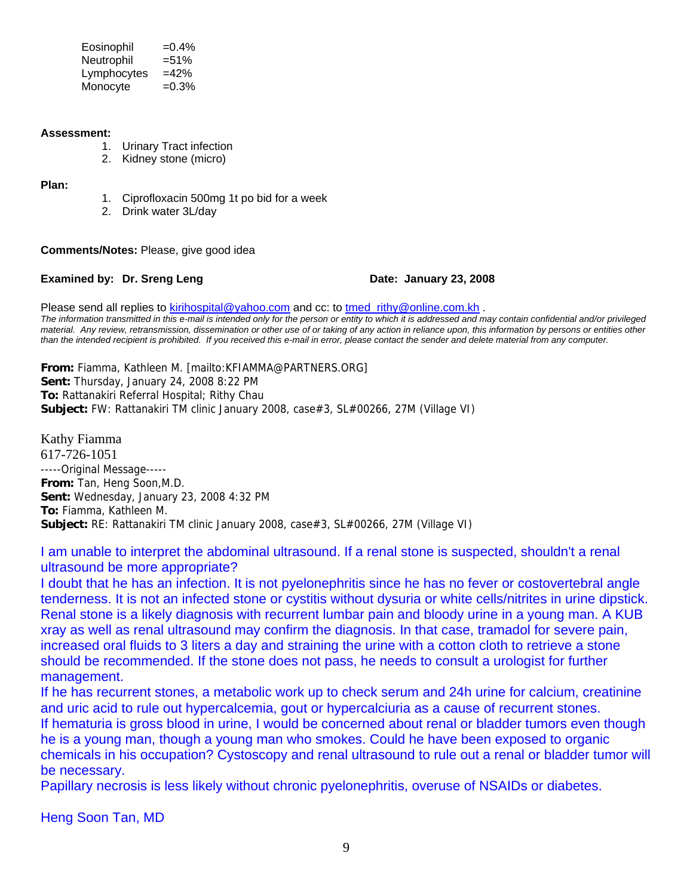$Eosinophil$  =0.4%  $Neutronhil = 51%$  Lymphocytes =42% Monocyte  $=0.3\%$ 

#### **Assessment:**

- 1. Urinary Tract infection
- 2. Kidney stone (micro)

#### **Plan:**

- 1. Ciprofloxacin 500mg 1t po bid for a week
- 2. Drink water 3L/day

**Comments/Notes:** Please, give good idea

#### **Examined by: Dr. Sreng Leng Date: January 23, 2008**

Please send all replies to kirihospital@yahoo.com and cc: to tmed rithy@online.com.kh . *The information transmitted in this e-mail is intended only for the person or entity to which it is addressed and may contain confidential and/or privileged material. Any review, retransmission, dissemination or other use of or taking of any action in reliance upon, this information by persons or entities other than the intended recipient is prohibited. If you received this e-mail in error, please contact the sender and delete material from any computer.*

**From:** Fiamma, Kathleen M. [mailto:KFIAMMA@PARTNERS.ORG] **Sent:** Thursday, January 24, 2008 8:22 PM **To:** Rattanakiri Referral Hospital; Rithy Chau **Subject:** FW: Rattanakiri TM clinic January 2008, case#3, SL#00266, 27M (Village VI)

Kathy Fiamma 617-726-1051 -----Original Message----- **From:** Tan, Heng Soon,M.D. **Sent:** Wednesday, January 23, 2008 4:32 PM **To:** Fiamma, Kathleen M. **Subject:** RE: Rattanakiri TM clinic January 2008, case#3, SL#00266, 27M (Village VI)

#### I am unable to interpret the abdominal ultrasound. If a renal stone is suspected, shouldn't a renal ultrasound be more appropriate?

I doubt that he has an infection. It is not pyelonephritis since he has no fever or costovertebral angle tenderness. It is not an infected stone or cystitis without dysuria or white cells/nitrites in urine dipstick. Renal stone is a likely diagnosis with recurrent lumbar pain and bloody urine in a young man. A KUB xray as well as renal ultrasound may confirm the diagnosis. In that case, tramadol for severe pain, increased oral fluids to 3 liters a day and straining the urine with a cotton cloth to retrieve a stone should be recommended. If the stone does not pass, he needs to consult a urologist for further management.

If he has recurrent stones, a metabolic work up to check serum and 24h urine for calcium, creatinine and uric acid to rule out hypercalcemia, gout or hypercalciuria as a cause of recurrent stones. If hematuria is gross blood in urine, I would be concerned about renal or bladder tumors even though he is a young man, though a young man who smokes. Could he have been exposed to organic chemicals in his occupation? Cystoscopy and renal ultrasound to rule out a renal or bladder tumor will be necessary.

Papillary necrosis is less likely without chronic pyelonephritis, overuse of NSAIDs or diabetes.

Heng Soon Tan, MD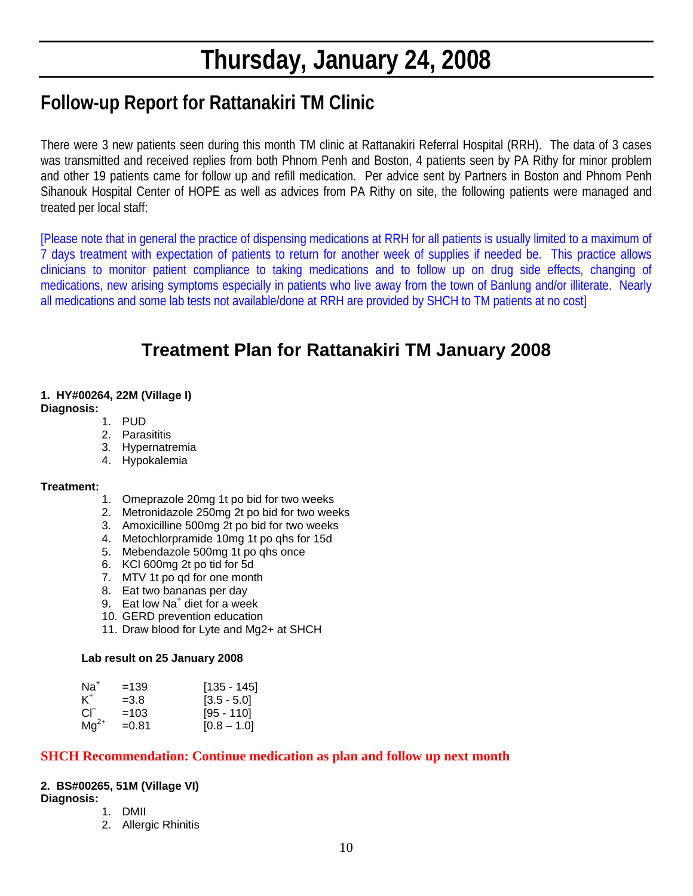# **Thursday, January 24, 2008**

## **Follow-up Report for Rattanakiri TM Clinic**

There were 3 new patients seen during this month TM clinic at Rattanakiri Referral Hospital (RRH). The data of 3 cases was transmitted and received replies from both Phnom Penh and Boston, 4 patients seen by PA Rithy for minor problem and other 19 patients came for follow up and refill medication. Per advice sent by Partners in Boston and Phnom Penh Sihanouk Hospital Center of HOPE as well as advices from PA Rithy on site, the following patients were managed and treated per local staff:

[Please note that in general the practice of dispensing medications at RRH for all patients is usually limited to a maximum of 7 days treatment with expectation of patients to return for another week of supplies if needed be. This practice allows clinicians to monitor patient compliance to taking medications and to follow up on drug side effects, changing of medications, new arising symptoms especially in patients who live away from the town of Banlung and/or illiterate. Nearly all medications and some lab tests not available/done at RRH are provided by SHCH to TM patients at no cost]

## **Treatment Plan for Rattanakiri TM January 2008**

## **1. HY#00264, 22M (Village I)**

- **Diagnosis:**
	- 1. PUD
	- 2. Parasititis
	- 3. Hypernatremia
	- 4. Hypokalemia

#### **Treatment:**

- 1. Omeprazole 20mg 1t po bid for two weeks
- 2. Metronidazole 250mg 2t po bid for two weeks
- 3. Amoxicilline 500mg 2t po bid for two weeks
- 4. Metochlorpramide 10mg 1t po qhs for 15d
- 5. Mebendazole 500mg 1t po qhs once
- 6. KCl 600mg 2t po tid for 5d
- 7. MTV 1t po qd for one month
- 8. Eat two bananas per day
- 9. Eat low Na<sup>+</sup> diet for a week
- 10. GERD prevention education
- 11. Draw blood for Lyte and Mg2+ at SHCH

#### **Lab result on 25 January 2008**

| $Na+$     | $=139$  | $[135 - 145]$ |
|-----------|---------|---------------|
| K+        | $=3.8$  | $[3.5 - 5.0]$ |
| CГ        | $=103$  | $[95 - 110]$  |
| $Mq^{2+}$ | $=0.81$ | $[0.8 - 1.0]$ |

#### **SHCH Recommendation: Continue medication as plan and follow up next month**

#### **2. BS#00265, 51M (Village VI)**

**Diagnosis:**

- 1. DMII
- 2. Allergic Rhinitis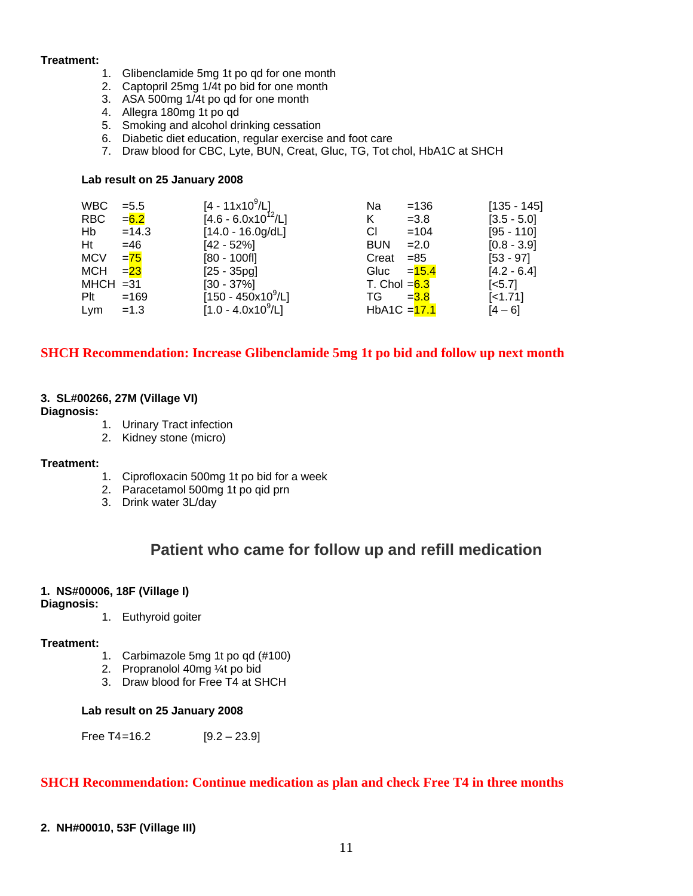#### **Treatment:**

- 1. Glibenclamide 5mg 1t po qd for one month
- 2. Captopril 25mg 1/4t po bid for one month
- 3. ASA 500mg 1/4t po qd for one month
- 4. Allegra 180mg 1t po qd
- 5. Smoking and alcohol drinking cessation
- 6. Diabetic diet education, regular exercise and foot care
- 7. Draw blood for CBC, Lyte, BUN, Creat, Gluc, TG, Tot chol, HbA1C at SHCH

#### **Lab result on 25 January 2008**

| WBC.        | $= 5.5$ | $[4 - 11 \times 10^9 / L]$         | Na             | $=136$   | $[135 - 145]$      |
|-------------|---------|------------------------------------|----------------|----------|--------------------|
| RBC         | $= 6.2$ | $[4.6 - 6.0x10^{12}/L]$            | Κ              | $=3.8$   | $[3.5 - 5.0]$      |
| Hb          | $=14.3$ | $[14.0 - 16.0g/dL]$                | СI             | $=104$   | $[95 - 110]$       |
| Ht          | $=46$   | $[42 - 52%]$                       | <b>BUN</b>     | $=2.0$   | $[0.8 - 3.9]$      |
| <b>MCV</b>  | $= 75$  | $[80 - 100$ fl]                    | Creat          | $= 85$   | $[53 - 97]$        |
| MCH         | $= 23$  | $[25 - 35pg]$                      | Gluc           | $= 15.4$ | $[4.2 - 6.4]$      |
| $MHCH = 31$ |         | $[30 - 37\%]$                      | T. Chol $=6.3$ |          | $\left[5.7\right]$ |
| Plt         | $=169$  | $[150 - 450 \times 10^9/\text{L}]$ | TG.            | $= 3.8$  | $[-1.71]$          |
| Lym         | $=1.3$  | $[1.0 - 4.0x10^9/L]$               | HbA1C $=$ 17.1 |          | $[4 - 6]$          |

#### **SHCH Recommendation: Increase Glibenclamide 5mg 1t po bid and follow up next month**

#### **3. SL#00266, 27M (Village VI)**

#### **Diagnosis:**

- 1. Urinary Tract infection
- 2. Kidney stone (micro)

#### **Treatment:**

- 1. Ciprofloxacin 500mg 1t po bid for a week
- 2. Paracetamol 500mg 1t po qid prn
- 3. Drink water 3L/day

### **Patient who came for follow up and refill medication**

#### **1. NS#00006, 18F (Village I)**

#### **Diagnosis:**

1. Euthyroid goiter

#### **Treatment:**

- 1. Carbimazole 5mg 1t po qd (#100)
- 2. Propranolol 40mg ¼t po bid
- 3. Draw blood for Free T4 at SHCH

#### **Lab result on 25 January 2008**

Free  $T4 = 16.2$  [9.2 – 23.9]

#### **SHCH Recommendation: Continue medication as plan and check Free T4 in three months**

#### **2. NH#00010, 53F (Village III)**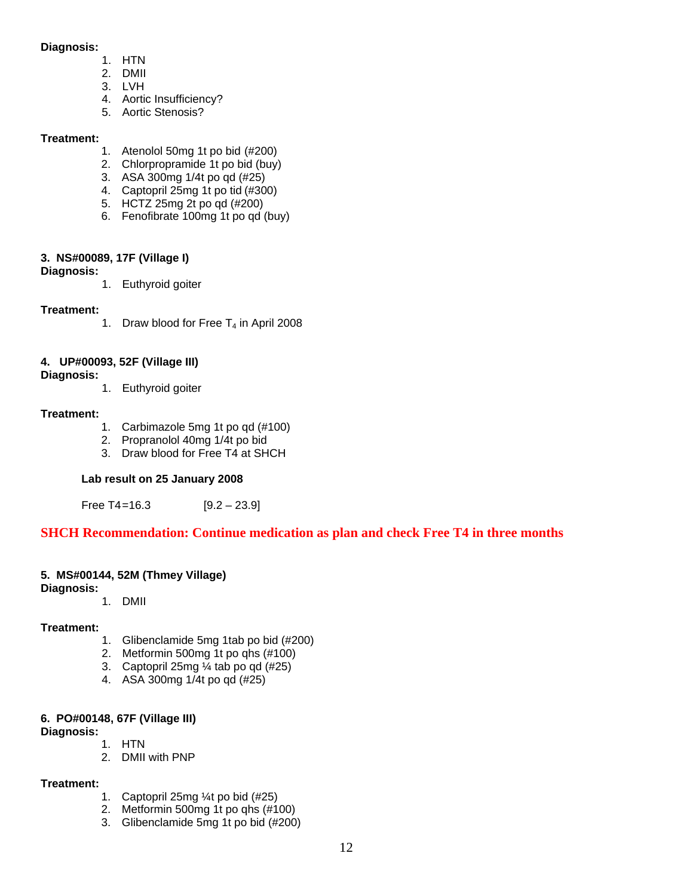#### **Diagnosis:**

- 1. HTN
- 2. DMII
- 3. LVH
- 4. Aortic Insufficiency?
- 5. Aortic Stenosis?

#### **Treatment:**

- 1. Atenolol 50mg 1t po bid (#200)
- 2. Chlorpropramide 1t po bid (buy)
- 3. ASA 300mg 1/4t po qd (#25)
- 4. Captopril 25mg 1t po tid (#300)
- 5. HCTZ 25mg 2t po qd (#200)
- 6. Fenofibrate 100mg 1t po qd (buy)

#### **3. NS#00089, 17F (Village I)**

**Diagnosis:** 

1. Euthyroid goiter

#### **Treatment:**

1. Draw blood for Free  $T_4$  in April 2008

#### **4. UP#00093, 52F (Village III)**

#### **Diagnosis:**

1. Euthyroid goiter

#### **Treatment:**

- 1. Carbimazole 5mg 1t po qd (#100)
- 2. Propranolol 40mg 1/4t po bid
- 3. Draw blood for Free T4 at SHCH

#### **Lab result on 25 January 2008**

Free  $T4 = 16.3$  [9.2 – 23.9]

### **SHCH Recommendation: Continue medication as plan and check Free T4 in three months**

#### **5. MS#00144, 52M (Thmey Village)**

**Diagnosis:** 

1. DMII

#### **Treatment:**

- 1. Glibenclamide 5mg 1tab po bid (#200)
- 2. Metformin 500mg 1t po qhs (#100)
- 3. Captopril 25mg ¼ tab po qd (#25)
- 4. ASA 300mg 1/4t po qd (#25)

#### **6. PO#00148, 67F (Village III)**

#### **Diagnosis:**

1. HTN

2. DMII with PNP

#### **Treatment:**

- 1. Captopril 25mg ¼t po bid (#25)
- 2. Metformin 500mg 1t po qhs (#100)
- 3. Glibenclamide 5mg 1t po bid (#200)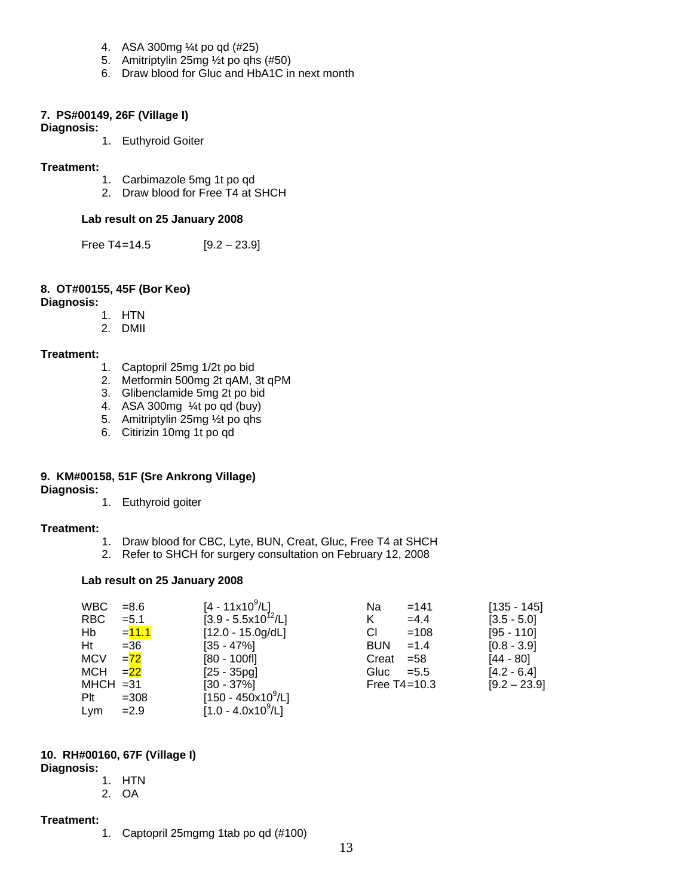- 4. ASA 300mg ¼t po qd (#25)
- 5. Amitriptylin 25mg ½t po qhs (#50)
- 6. Draw blood for Gluc and HbA1C in next month

#### **7. PS#00149, 26F (Village I)**

#### **Diagnosis:**

1. Euthyroid Goiter

#### **Treatment:**

- 1. Carbimazole 5mg 1t po qd
- 2. Draw blood for Free T4 at SHCH

#### **Lab result on 25 January 2008**

Free  $T4 = 14.5$  [9.2 – 23.9]

#### **8. OT#00155, 45F (Bor Keo)**

#### **Diagnosis:**

- 1. HTN
- 2. DMII

#### **Treatment:**

- 1. Captopril 25mg 1/2t po bid
- 2. Metformin 500mg 2t qAM, 3t qPM
- 3. Glibenclamide 5mg 2t po bid
- 4. ASA 300mg ¼t po qd (buy)
- 5. Amitriptylin 25mg ½t po qhs
- 6. Citirizin 10mg 1t po qd

#### **9. KM#00158, 51F (Sre Ankrong Village)**

#### **Diagnosis:**

1. Euthyroid goiter

#### **Treatment:**

- 1. Draw blood for CBC, Lyte, BUN, Creat, Gluc, Free T4 at SHCH
- 2. Refer to SHCH for surgery consultation on February 12, 2008

#### **Lab result on 25 January 2008**

| <b>WBC</b>  | $= 8.6$ | [4 - 11x10 <sup>9</sup> /L] | Na               | $=141$  | $[135 - 145]$  |
|-------------|---------|-----------------------------|------------------|---------|----------------|
| RBC         | $= 5.1$ | $[3.9 - 5.5x10^{12}/L]$     | Κ                | $=4.4$  | $[3.5 - 5.0]$  |
| Hb          | $=11.1$ | $[12.0 - 15.0g/dL]$         | СI               | $=108$  | $[95 - 110]$   |
| Ht          | $= 36$  | $[35 - 47\%]$               | <b>BUN</b>       | $=1.4$  | $[0.8 - 3.9]$  |
| <b>MCV</b>  | $=72$   | $[80 - 100$ fl]             | Creat            | $= 58$  | $[44 - 80]$    |
| <b>MCH</b>  | $= 22$  | $[25 - 35pq]$               | Gluc             | $= 5.5$ | $[4.2 - 6.4]$  |
| $MHCH = 31$ |         | $[30 - 37\%]$               | Free $T4 = 10.3$ |         | $[9.2 - 23.9]$ |
| Plt         | $=308$  | $[150 - 450x10^9/L]$        |                  |         |                |
| Lym         | $=2.9$  | $[1.0 - 4.0x10^9/L]$        |                  |         |                |

#### **10. RH#00160, 67F (Village I)**

#### **Diagnosis:**

- 1. HTN
- 2. OA

#### **Treatment:**

1. Captopril 25mgmg 1tab po qd (#100)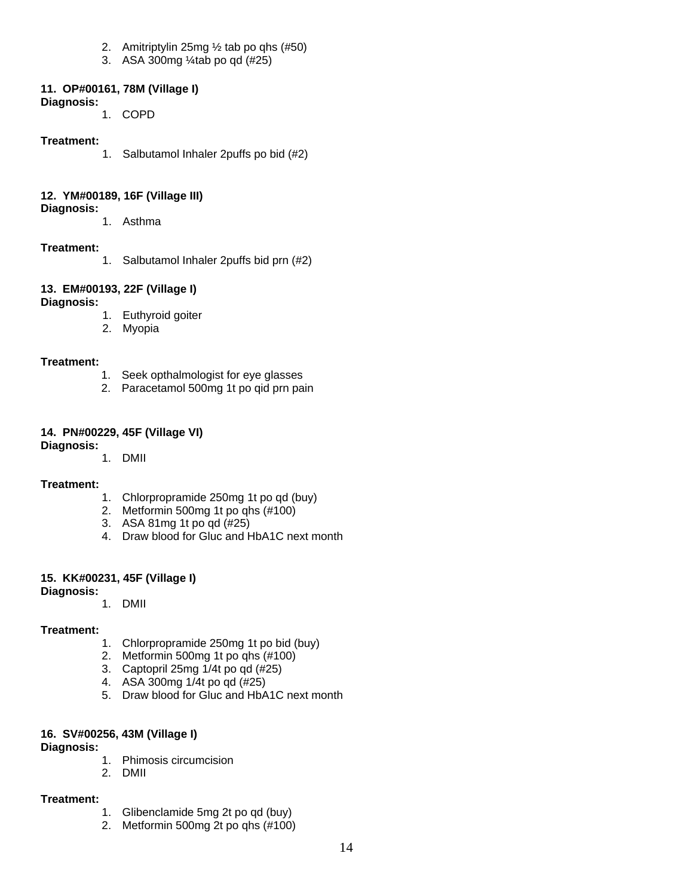- 2. Amitriptylin 25mg ½ tab po qhs (#50)
- 3. ASA 300mg ¼tab po qd (#25)

#### **11. OP#00161, 78M (Village I)**

**Diagnosis:** 

1. COPD

#### **Treatment:**

1. Salbutamol Inhaler 2puffs po bid (#2)

#### **12. YM#00189, 16F (Village III)**

#### **Diagnosis:**

1. Asthma

#### **Treatment:**

1. Salbutamol Inhaler 2puffs bid prn (#2)

### **13. EM#00193, 22F (Village I)**

#### **Diagnosis:**

- 1. Euthyroid goiter
- 2. Myopia

#### **Treatment:**

- 1. Seek opthalmologist for eye glasses
- 2. Paracetamol 500mg 1t po qid prn pain

#### **14. PN#00229, 45F (Village VI)**

#### **Diagnosis:**

1. DMII

#### **Treatment:**

- 1. Chlorpropramide 250mg 1t po qd (buy)
- 2. Metformin 500mg 1t po qhs (#100)
- 3. ASA 81mg 1t po qd (#25)
- 4. Draw blood for Gluc and HbA1C next month

#### **15. KK#00231, 45F (Village I)**

**Diagnosis:**

1. DMII

#### **Treatment:**

- 1. Chlorpropramide 250mg 1t po bid (buy)
- 2. Metformin 500mg 1t po qhs (#100)
- 3. Captopril 25mg 1/4t po qd (#25)
- 4. ASA 300mg 1/4t po qd (#25)
- 5. Draw blood for Gluc and HbA1C next month

#### **16. SV#00256, 43M (Village I)**

#### **Diagnosis:**

- 1. Phimosis circumcision
- 2. DMII

#### **Treatment:**

- 1. Glibenclamide 5mg 2t po qd (buy)
- 2. Metformin 500mg 2t po qhs (#100)